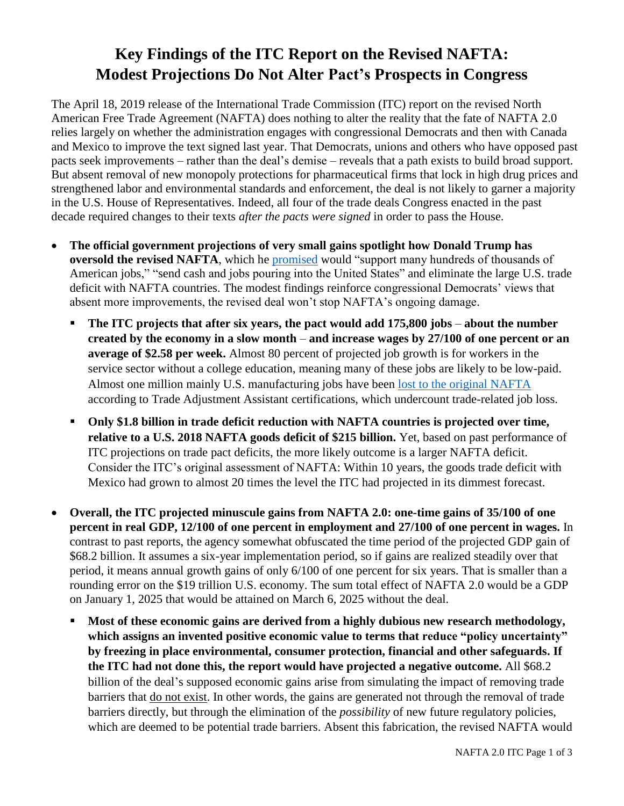## **Key Findings of the ITC Report on the Revised NAFTA: Modest Projections Do Not Alter Pact's Prospects in Congress**

The April 18, 2019 release of the International Trade Commission (ITC) report on the revised North American Free Trade Agreement (NAFTA) does nothing to alter the reality that the fate of NAFTA 2.0 relies largely on whether the administration engages with congressional Democrats and then with Canada and Mexico to improve the text signed last year. That Democrats, unions and others who have opposed past pacts seek improvements – rather than the deal's demise – reveals that a path exists to build broad support. But absent removal of new monopoly protections for pharmaceutical firms that lock in high drug prices and strengthened labor and environmental standards and enforcement, the deal is not likely to garner a majority in the U.S. House of Representatives. Indeed, all four of the trade deals Congress enacted in the past decade required changes to their texts *after the pacts were signed* in order to pass the House.

- **The official government projections of very small gains spotlight how Donald Trump has oversold the revised NAFTA**, which he [promised](https://www.whitehouse.gov/briefings-statements/remarks-president-trump-united-states-mexico-canada-agreement/) would "support many hundreds of thousands of American jobs," "send cash and jobs pouring into the United States" and eliminate the large U.S. trade deficit with NAFTA countries. The modest findings reinforce congressional Democrats' views that absent more improvements, the revised deal won't stop NAFTA's ongoing damage.
	- **The ITC projects that after six years, the pact would add 175,800 jobs about the number created by the economy in a slow month** – **and increase wages by 27/100 of one percent or an average of \$2.58 per week.** Almost 80 percent of projected job growth is for workers in the service sector without a college education, meaning many of these jobs are likely to be low-paid. Almost one million mainly U.S. manufacturing jobs have been [lost to the original NAFTA](https://www.citizen.org/trade-adjustment-assistance-database) according to Trade Adjustment Assistant certifications, which undercount trade-related job loss.
	- **Only \$1.8 billion in trade deficit reduction with NAFTA countries is projected over time, relative to a U.S. 2018 NAFTA goods deficit of \$215 billion.** Yet, based on past performance of ITC projections on trade pact deficits, the more likely outcome is a larger NAFTA deficit. Consider the ITC's original assessment of NAFTA: Within 10 years, the goods trade deficit with Mexico had grown to almost 20 times the level the ITC had projected in its dimmest forecast.
- **Overall, the ITC projected minuscule gains from NAFTA 2.0: one-time gains of 35/100 of one percent in real GDP, 12/100 of one percent in employment and 27/100 of one percent in wages.** In contrast to past reports, the agency somewhat obfuscated the time period of the projected GDP gain of \$68.2 billion. It assumes a six-year implementation period, so if gains are realized steadily over that period, it means annual growth gains of only 6/100 of one percent for six years. That is smaller than a rounding error on the \$19 trillion U.S. economy. The sum total effect of NAFTA 2.0 would be a GDP on January 1, 2025 that would be attained on March 6, 2025 without the deal.
	- **Most of these economic gains are derived from a highly dubious new research methodology, which assigns an invented positive economic value to terms that reduce "policy uncertainty" by freezing in place environmental, consumer protection, financial and other safeguards. If the ITC had not done this, the report would have projected a negative outcome.** All \$68.2 billion of the deal's supposed economic gains arise from simulating the impact of removing trade barriers that do not exist. In other words, the gains are generated not through the removal of trade barriers directly, but through the elimination of the *possibility* of new future regulatory policies, which are deemed to be potential trade barriers. Absent this fabrication, the revised NAFTA would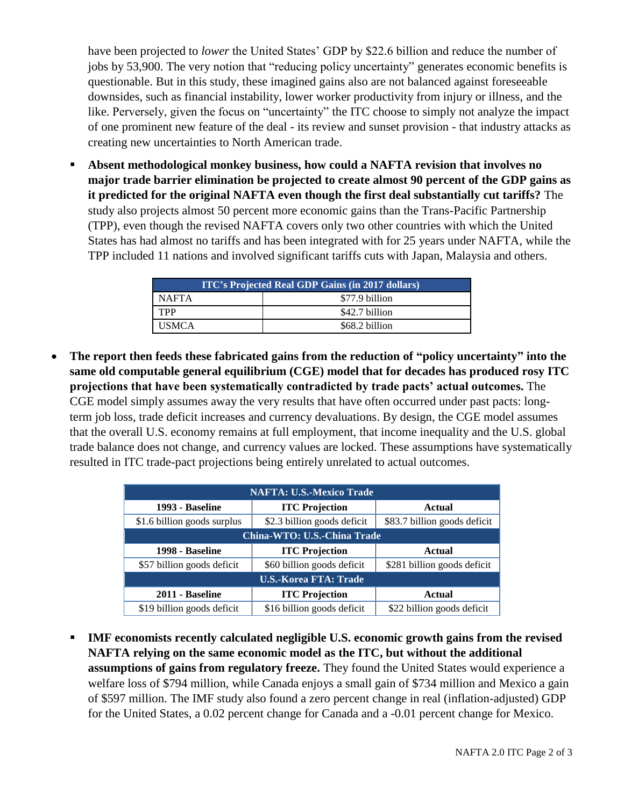have been projected to *lower* the United States' GDP by \$22.6 billion and reduce the number of jobs by 53,900. The very notion that "reducing policy uncertainty" generates economic benefits is questionable. But in this study, these imagined gains also are not balanced against foreseeable downsides, such as financial instability, lower worker productivity from injury or illness, and the like. Perversely, given the focus on "uncertainty" the ITC choose to simply not analyze the impact of one prominent new feature of the deal - its review and sunset provision - that industry attacks as creating new uncertainties to North American trade.

▪ **Absent methodological monkey business, how could a NAFTA revision that involves no major trade barrier elimination be projected to create almost 90 percent of the GDP gains as it predicted for the original NAFTA even though the first deal substantially cut tariffs?** The study also projects almost 50 percent more economic gains than the Trans-Pacific Partnership (TPP), even though the revised NAFTA covers only two other countries with which the United States has had almost no tariffs and has been integrated with for 25 years under NAFTA, while the TPP included 11 nations and involved significant tariffs cuts with Japan, Malaysia and others.

| <b>ITC's Projected Real GDP Gains (in 2017 dollars)</b> |                |  |
|---------------------------------------------------------|----------------|--|
| NAFTA                                                   | \$77.9 billion |  |
| <b>TPP</b>                                              | \$42.7 billion |  |
| <b>USMCA</b>                                            | \$68.2 billion |  |

• **The report then feeds these fabricated gains from the reduction of "policy uncertainty" into the same old computable general equilibrium (CGE) model that for decades has produced rosy ITC projections that have been systematically contradicted by trade pacts' actual outcomes.** The CGE model simply assumes away the very results that have often occurred under past pacts: longterm job loss, trade deficit increases and currency devaluations. By design, the CGE model assumes that the overall U.S. economy remains at full employment, that income inequality and the U.S. global trade balance does not change, and currency values are locked. These assumptions have systematically resulted in ITC trade-pact projections being entirely unrelated to actual outcomes.

| <b>NAFTA: U.S.-Mexico Trade</b> |                             |                              |  |
|---------------------------------|-----------------------------|------------------------------|--|
| 1993 - Baseline                 | <b>ITC Projection</b>       | Actual                       |  |
| \$1.6 billion goods surplus     | \$2.3 billion goods deficit | \$83.7 billion goods deficit |  |
| China-WTO: U.S.-China Trade     |                             |                              |  |
| 1998 - Baseline                 | <b>ITC Projection</b>       | Actual                       |  |
| \$57 billion goods deficit      | \$60 billion goods deficit  | \$281 billion goods deficit  |  |
| <b>U.S.-Korea FTA: Trade</b>    |                             |                              |  |
| 2011 - Baseline                 | <b>ITC Projection</b>       | <b>Actual</b>                |  |
| \$19 billion goods deficit      | \$16 billion goods deficit  | \$22 billion goods deficit   |  |

▪ **IMF economists recently calculated negligible U.S. economic growth gains from the revised NAFTA relying on the same economic model as the ITC, but without the additional assumptions of gains from regulatory freeze.** They found the United States would experience a welfare loss of \$794 million, while Canada enjoys a small gain of \$734 million and Mexico a gain of \$597 million. The IMF study also found a zero percent change in real (inflation-adjusted) GDP for the United States, a 0.02 percent change for Canada and a -0.01 percent change for Mexico.